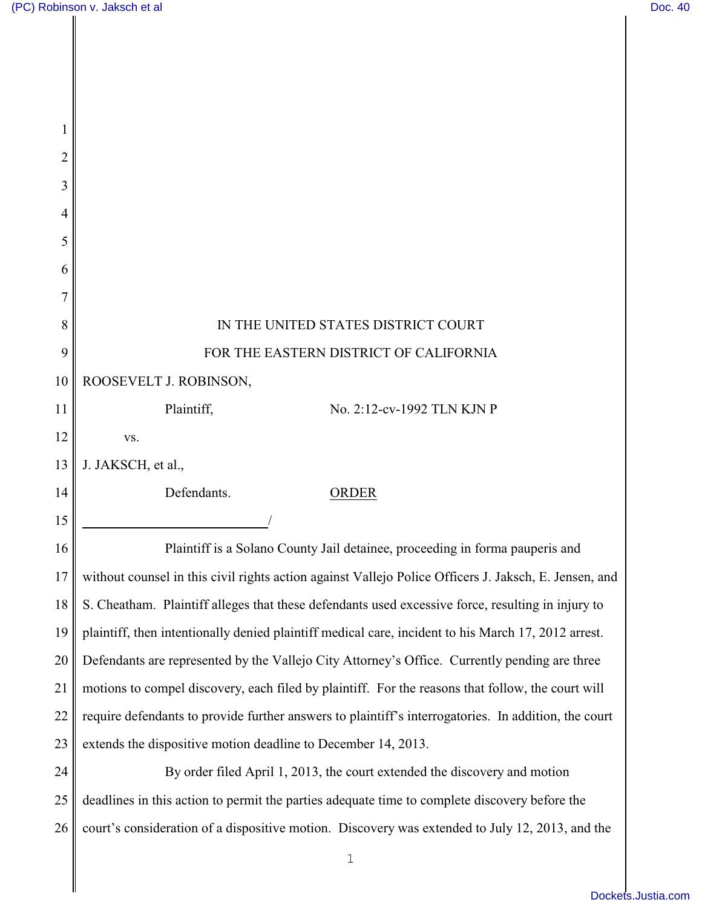$\mathbf I$ 

| 1              |                                                                                                       |
|----------------|-------------------------------------------------------------------------------------------------------|
| $\overline{2}$ |                                                                                                       |
| 3              |                                                                                                       |
| 4              |                                                                                                       |
| 5              |                                                                                                       |
| 6              |                                                                                                       |
| 7              |                                                                                                       |
| 8              | IN THE UNITED STATES DISTRICT COURT                                                                   |
| 9              | FOR THE EASTERN DISTRICT OF CALIFORNIA                                                                |
| 10             | ROOSEVELT J. ROBINSON,                                                                                |
| 11             | Plaintiff,<br>No. 2:12-cv-1992 TLN KJN P                                                              |
| 12             | VS.                                                                                                   |
| 13             | J. JAKSCH, et al.,                                                                                    |
| 14             | Defendants.<br><b>ORDER</b>                                                                           |
| 15             |                                                                                                       |
| 16             | Plaintiff is a Solano County Jail detainee, proceeding in forma pauperis and                          |
| 17             | without counsel in this civil rights action against Vallejo Police Officers J. Jaksch, E. Jensen, and |
| 18             | S. Cheatham. Plaintiff alleges that these defendants used excessive force, resulting in injury to     |
| 19             | plaintiff, then intentionally denied plaintiff medical care, incident to his March 17, 2012 arrest.   |
| 20             | Defendants are represented by the Vallejo City Attorney's Office. Currently pending are three         |
| 21             | motions to compel discovery, each filed by plaintiff. For the reasons that follow, the court will     |
| 22             | require defendants to provide further answers to plaintiff's interrogatories. In addition, the court  |
| 23             | extends the dispositive motion deadline to December 14, 2013.                                         |
| 24             | By order filed April 1, 2013, the court extended the discovery and motion                             |
| 25             | deadlines in this action to permit the parties adequate time to complete discovery before the         |
| 26             | court's consideration of a dispositive motion. Discovery was extended to July 12, 2013, and the       |
|                | 1                                                                                                     |
|                |                                                                                                       |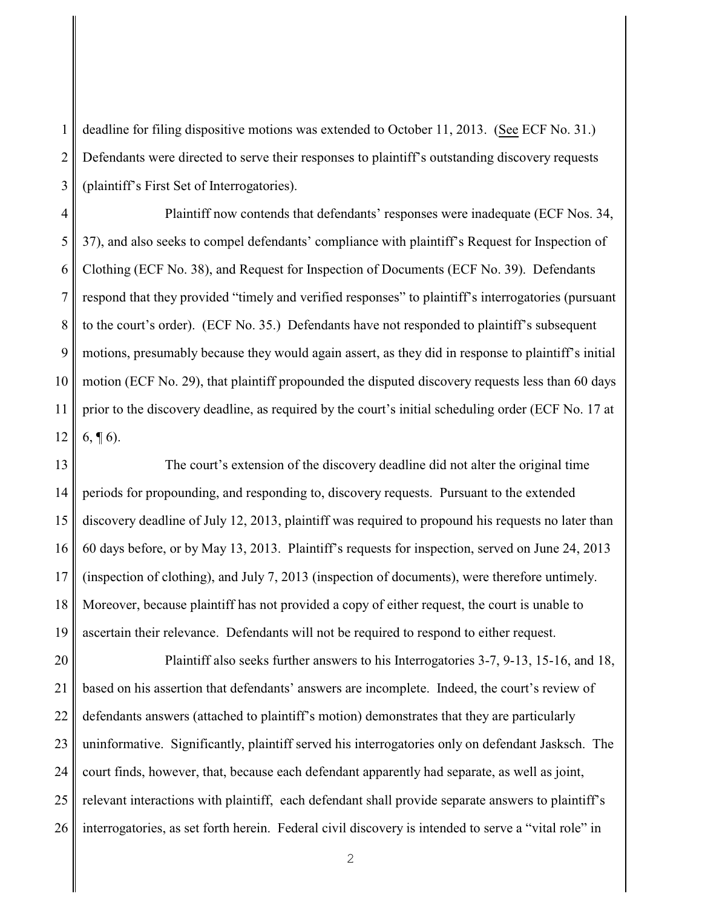1 2 3 deadline for filing dispositive motions was extended to October 11, 2013. (See ECF No. 31.) Defendants were directed to serve their responses to plaintiff's outstanding discovery requests (plaintiff's First Set of Interrogatories).

4 5 6 7 8 9 10 11 12 Plaintiff now contends that defendants' responses were inadequate (ECF Nos. 34, 37), and also seeks to compel defendants' compliance with plaintiff's Request for Inspection of Clothing (ECF No. 38), and Request for Inspection of Documents (ECF No. 39). Defendants respond that they provided "timely and verified responses" to plaintiff's interrogatories (pursuant to the court's order). (ECF No. 35.) Defendants have not responded to plaintiff's subsequent motions, presumably because they would again assert, as they did in response to plaintiff's initial motion (ECF No. 29), that plaintiff propounded the disputed discovery requests less than 60 days prior to the discovery deadline, as required by the court's initial scheduling order (ECF No. 17 at  $6, \P 6$ .

13 14 15 16 17 18 19 The court's extension of the discovery deadline did not alter the original time periods for propounding, and responding to, discovery requests. Pursuant to the extended discovery deadline of July 12, 2013, plaintiff was required to propound his requests no later than 60 days before, or by May 13, 2013. Plaintiff's requests for inspection, served on June 24, 2013 (inspection of clothing), and July 7, 2013 (inspection of documents), were therefore untimely. Moreover, because plaintiff has not provided a copy of either request, the court is unable to ascertain their relevance. Defendants will not be required to respond to either request.

20 21 22 23 24 25 26 Plaintiff also seeks further answers to his Interrogatories 3-7, 9-13, 15-16, and 18, based on his assertion that defendants' answers are incomplete. Indeed, the court's review of defendants answers (attached to plaintiff's motion) demonstrates that they are particularly uninformative. Significantly, plaintiff served his interrogatories only on defendant Jasksch. The court finds, however, that, because each defendant apparently had separate, as well as joint, relevant interactions with plaintiff, each defendant shall provide separate answers to plaintiff's interrogatories, as set forth herein. Federal civil discovery is intended to serve a "vital role" in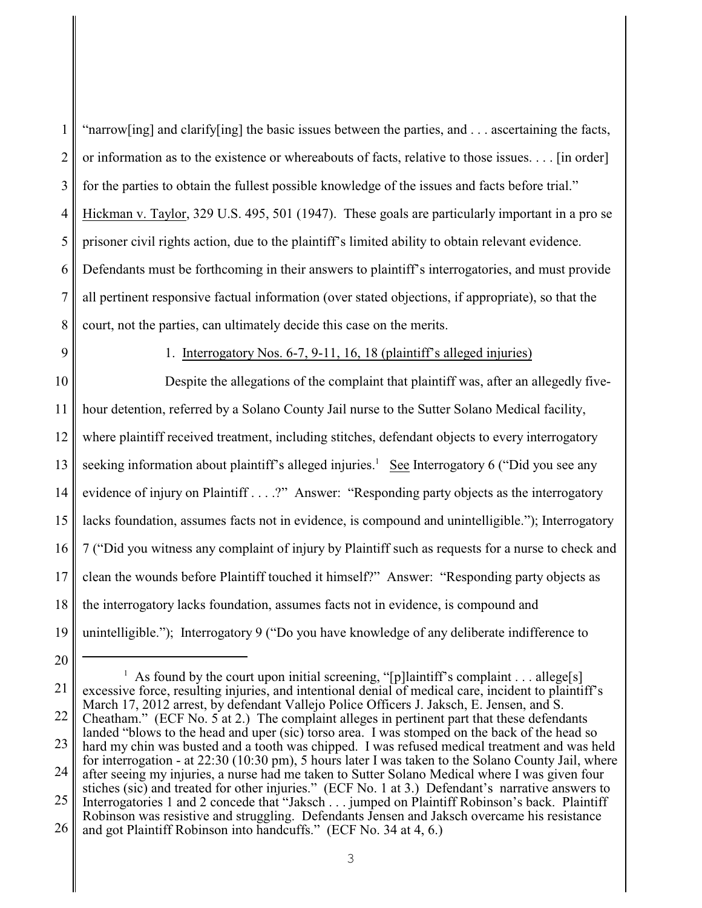| 1   "narrow[ing] and clarify[ing] the basic issues between the parties, and  ascertaining the facts,            |
|-----------------------------------------------------------------------------------------------------------------|
| 2    or information as to the existence or whereabouts of facts, relative to those issues [in order]            |
| 3    for the parties to obtain the fullest possible knowledge of the issues and facts before trial."            |
| 4 Hickman v. Taylor, 329 U.S. 495, 501 (1947). These goals are particularly important in a pro se               |
| $5 \parallel$ prisoner civil rights action, due to the plaintiff's limited ability to obtain relevant evidence. |
| 6 Defendants must be forthcoming in their answers to plaintiff's interrogatories, and must provide              |
| 7    all pertinent responsive factual information (over stated objections, if appropriate), so that the         |
| 8 court, not the parties, can ultimately decide this case on the merits.                                        |

9

1. Interrogatory Nos. 6-7, 9-11, 16, 18 (plaintiff's alleged injuries)

10 11 12 13 14 15 16 17 18 19 Despite the allegations of the complaint that plaintiff was, after an allegedly fivehour detention, referred by a Solano County Jail nurse to the Sutter Solano Medical facility, where plaintiff received treatment, including stitches, defendant objects to every interrogatory seeking information about plaintiff's alleged injuries.<sup>1</sup> See Interrogatory 6 ("Did you see any evidence of injury on Plaintiff . . . .?" Answer: "Responding party objects as the interrogatory lacks foundation, assumes facts not in evidence, is compound and unintelligible."); Interrogatory 7 ("Did you witness any complaint of injury by Plaintiff such as requests for a nurse to check and clean the wounds before Plaintiff touched it himself?" Answer: "Responding party objects as the interrogatory lacks foundation, assumes facts not in evidence, is compound and unintelligible."); Interrogatory 9 ("Do you have knowledge of any deliberate indifference to

<sup>21</sup> 22 23 <sup>1</sup> As found by the court upon initial screening, "[p]laintiff's complaint . . . allege[s] excessive force, resulting injuries, and intentional denial of medical care, incident to plaintiff's March 17, 2012 arrest, by defendant Vallejo Police Officers J. Jaksch, E. Jensen, and S. Cheatham." (ECF No. 5 at 2.) The complaint alleges in pertinent part that these defendants landed "blows to the head and uper (sic) torso area. I was stomped on the back of the head so hard my chin was busted and a tooth was chipped. I was refused medical treatment and was held

<sup>24</sup> for interrogation - at 22:30 (10:30 pm), 5 hours later I was taken to the Solano County Jail, where after seeing my injuries, a nurse had me taken to Sutter Solano Medical where I was given four stiches (sic) and treated for other injuries." (ECF No. 1 at 3.) Defendant's narrative answers to

<sup>25</sup> 26 Interrogatories 1 and 2 concede that "Jaksch . . . jumped on Plaintiff Robinson's back. Plaintiff Robinson was resistive and struggling. Defendants Jensen and Jaksch overcame his resistance and got Plaintiff Robinson into handcuffs." (ECF No. 34 at 4, 6.)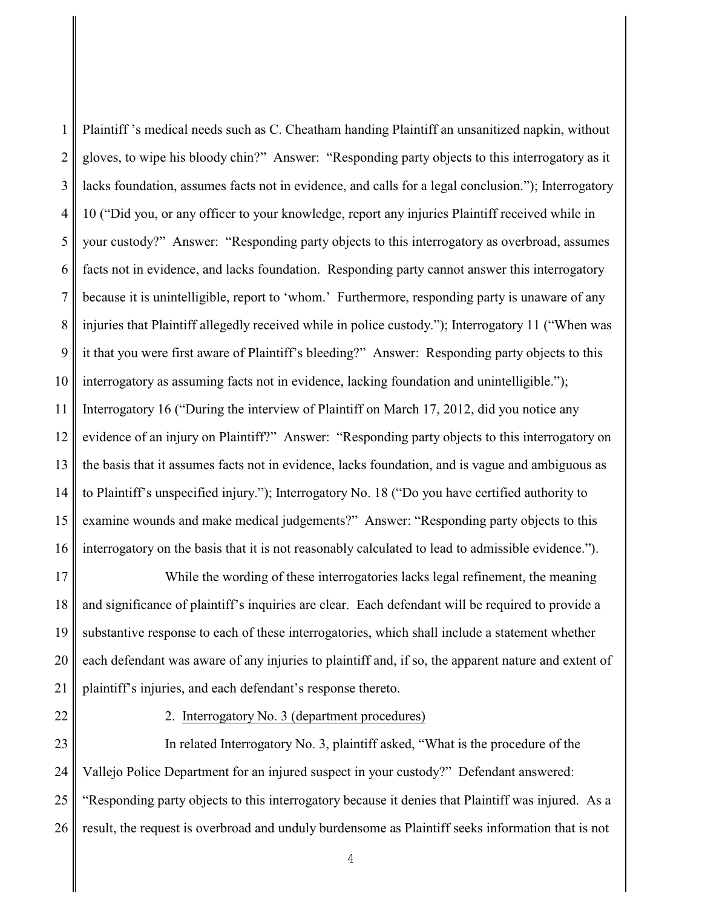1 2 3 4 5 6 7 8 9 10 11 12 13 14 15 16 Plaintiff 's medical needs such as C. Cheatham handing Plaintiff an unsanitized napkin, without gloves, to wipe his bloody chin?" Answer: "Responding party objects to this interrogatory as it lacks foundation, assumes facts not in evidence, and calls for a legal conclusion."); Interrogatory 10 ("Did you, or any officer to your knowledge, report any injuries Plaintiff received while in your custody?" Answer: "Responding party objects to this interrogatory as overbroad, assumes facts not in evidence, and lacks foundation. Responding party cannot answer this interrogatory because it is unintelligible, report to 'whom.' Furthermore, responding party is unaware of any injuries that Plaintiff allegedly received while in police custody."); Interrogatory 11 ("When was it that you were first aware of Plaintiff's bleeding?" Answer: Responding party objects to this interrogatory as assuming facts not in evidence, lacking foundation and unintelligible."); Interrogatory 16 ("During the interview of Plaintiff on March 17, 2012, did you notice any evidence of an injury on Plaintiff?" Answer: "Responding party objects to this interrogatory on the basis that it assumes facts not in evidence, lacks foundation, and is vague and ambiguous as to Plaintiff's unspecified injury."); Interrogatory No. 18 ("Do you have certified authority to examine wounds and make medical judgements?" Answer: "Responding party objects to this interrogatory on the basis that it is not reasonably calculated to lead to admissible evidence.").

17 18 19 20 21 While the wording of these interrogatories lacks legal refinement, the meaning and significance of plaintiff's inquiries are clear. Each defendant will be required to provide a substantive response to each of these interrogatories, which shall include a statement whether each defendant was aware of any injuries to plaintiff and, if so, the apparent nature and extent of plaintiff's injuries, and each defendant's response thereto.

22

2. Interrogatory No. 3 (department procedures)

23 24 25 26 In related Interrogatory No. 3, plaintiff asked, "What is the procedure of the Vallejo Police Department for an injured suspect in your custody?" Defendant answered: "Responding party objects to this interrogatory because it denies that Plaintiff was injured. As a result, the request is overbroad and unduly burdensome as Plaintiff seeks information that is not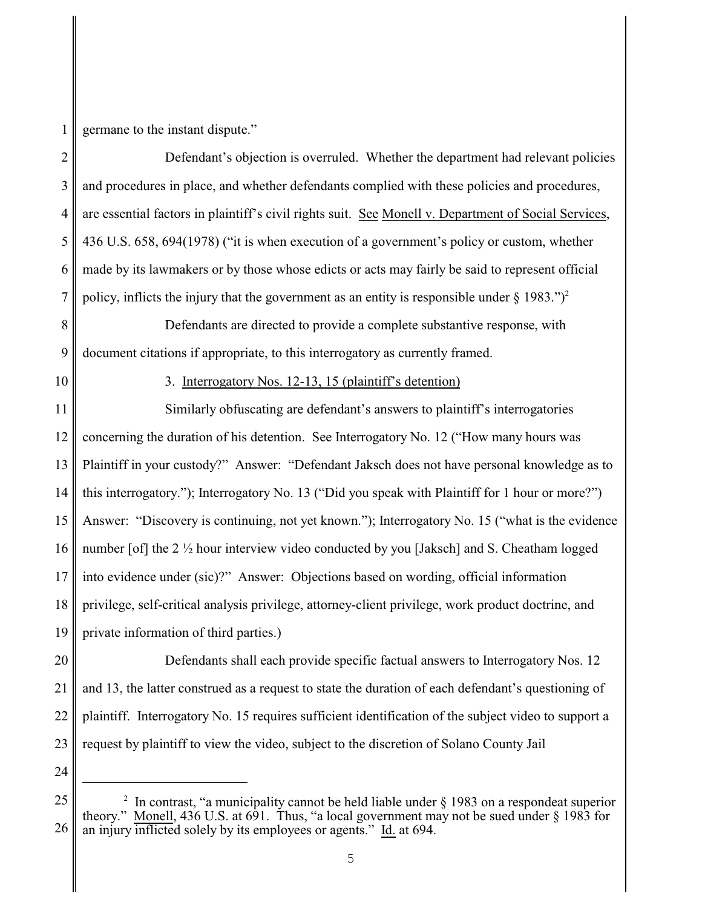germane to the instant dispute."

2 3 4 5 6 7 Defendant's objection is overruled. Whether the department had relevant policies and procedures in place, and whether defendants complied with these policies and procedures, are essential factors in plaintiff's civil rights suit. See Monell v. Department of Social Services, 436 U.S. 658, 694(1978) ("it is when execution of a government's policy or custom, whether made by its lawmakers or by those whose edicts or acts may fairly be said to represent official policy, inflicts the injury that the government as an entity is responsible under  $\S 1983$ .")<sup>2</sup>

8 9 Defendants are directed to provide a complete substantive response, with document citations if appropriate, to this interrogatory as currently framed.

10

1

3. Interrogatory Nos. 12-13, 15 (plaintiff's detention)

11 12 13 14 15 16 17 18 Similarly obfuscating are defendant's answers to plaintiff's interrogatories concerning the duration of his detention. See Interrogatory No. 12 ("How many hours was Plaintiff in your custody?" Answer: "Defendant Jaksch does not have personal knowledge as to this interrogatory."); Interrogatory No. 13 ("Did you speak with Plaintiff for 1 hour or more?") Answer: "Discovery is continuing, not yet known."); Interrogatory No. 15 ("what is the evidence number [of] the 2 ½ hour interview video conducted by you [Jaksch] and S. Cheatham logged into evidence under (sic)?" Answer: Objections based on wording, official information privilege, self-critical analysis privilege, attorney-client privilege, work product doctrine, and private information of third parties.)

Defendants shall each provide specific factual answers to Interrogatory Nos. 12

and 13, the latter construed as a request to state the duration of each defendant's questioning of

plaintiff. Interrogatory No. 15 requires sufficient identification of the subject video to support a

request by plaintiff to view the video, subject to the discretion of Solano County Jail

<sup>26</sup> <sup>2</sup> In contrast, "a municipality cannot be held liable under  $\S$  1983 on a respondeat superior theory." Monell,  $436$  U.S. at  $691$ . Thus, "a local government may not be sued under § 1983 for an injury inflicted solely by its employees or agents." Id. at 694.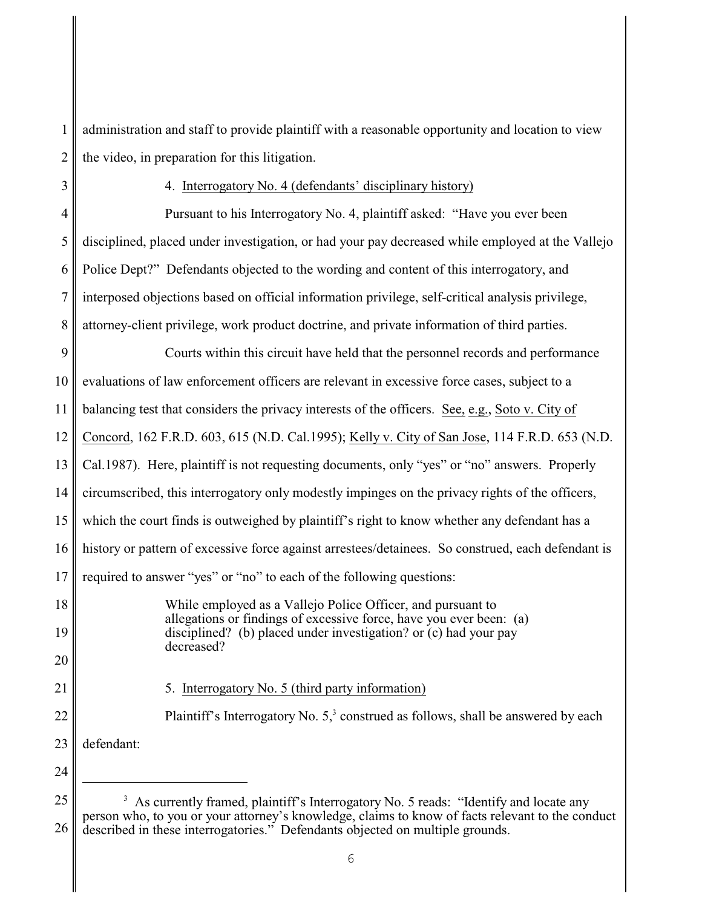1 2 administration and staff to provide plaintiff with a reasonable opportunity and location to view the video, in preparation for this litigation.

3 4

## 4. Interrogatory No. 4 (defendants' disciplinary history)

5 6 7 8 Pursuant to his Interrogatory No. 4, plaintiff asked: "Have you ever been disciplined, placed under investigation, or had your pay decreased while employed at the Vallejo Police Dept?" Defendants objected to the wording and content of this interrogatory, and interposed objections based on official information privilege, self-critical analysis privilege, attorney-client privilege, work product doctrine, and private information of third parties.

9 10 11 12 13 14 15 16 17 Courts within this circuit have held that the personnel records and performance evaluations of law enforcement officers are relevant in excessive force cases, subject to a balancing test that considers the privacy interests of the officers. See, e.g., Soto v. City of Concord, 162 F.R.D. 603, 615 (N.D. Cal.1995); Kelly v. City of San Jose, 114 F.R.D. 653 (N.D. Cal.1987). Here, plaintiff is not requesting documents, only "yes" or "no" answers. Properly circumscribed, this interrogatory only modestly impinges on the privacy rights of the officers, which the court finds is outweighed by plaintiff's right to know whether any defendant has a history or pattern of excessive force against arrestees/detainees. So construed, each defendant is required to answer "yes" or "no" to each of the following questions:

> While employed as a Vallejo Police Officer, and pursuant to allegations or findings of excessive force, have you ever been: (a) disciplined? (b) placed under investigation? or (c) had your pay decreased?

21

22

20

18

19

5. Interrogatory No. 5 (third party information)

Plaintiff's Interrogatory No.  $5<sup>3</sup>$  construed as follows, shall be answered by each

23 defendant:

<sup>25</sup> 26 <sup>3</sup> As currently framed, plaintiff's Interrogatory No. 5 reads: "Identify and locate any person who, to you or your attorney's knowledge, claims to know of facts relevant to the conduct described in these interrogatories." Defendants objected on multiple grounds.